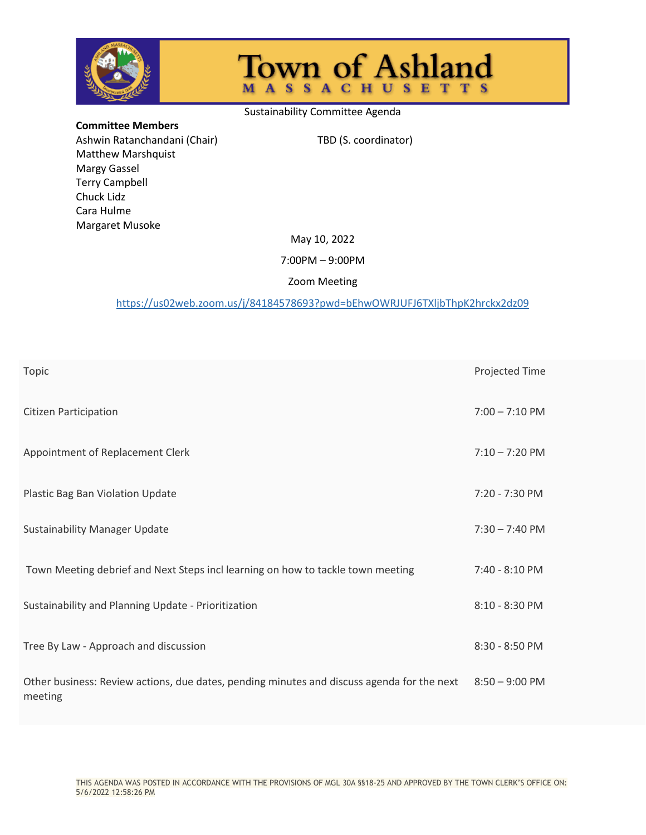

# Town of Ashland

#### Sustainability Committee Agenda

**Committee Members** Ashwin Ratanchandani (Chair) TBD (S. coordinator) Matthew Marshquist Margy Gassel Terry Campbell Chuck Lidz Cara Hulme Margaret Musoke

#### May 10, 2022

#### 7:00PM – 9:00PM

### Zoom Meeting

## <https://us02web.zoom.us/j/84184578693?pwd=bEhwOWRJUFJ6TXljbThpK2hrckx2dz09>

| Topic                                                                                                 | Projected Time           |
|-------------------------------------------------------------------------------------------------------|--------------------------|
| <b>Citizen Participation</b>                                                                          | $7:00 - 7:10 \text{ PM}$ |
| Appointment of Replacement Clerk                                                                      | $7:10 - 7:20$ PM         |
| Plastic Bag Ban Violation Update                                                                      | $7:20 - 7:30$ PM         |
| <b>Sustainability Manager Update</b>                                                                  | $7:30 - 7:40 \text{ PM}$ |
| Town Meeting debrief and Next Steps incl learning on how to tackle town meeting                       | $7:40 - 8:10 \text{ PM}$ |
| Sustainability and Planning Update - Prioritization                                                   | 8:10 - 8:30 PM           |
| Tree By Law - Approach and discussion                                                                 | 8:30 - 8:50 PM           |
| Other business: Review actions, due dates, pending minutes and discuss agenda for the next<br>meeting | $8:50 - 9:00$ PM         |